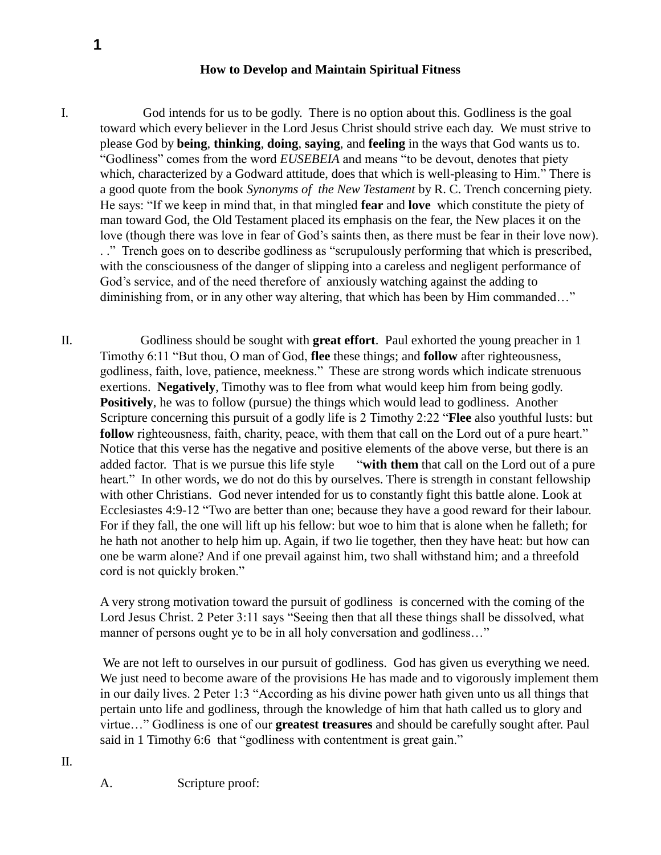## **How to Develop and Maintain Spiritual Fitness**

I. God intends for us to be godly. There is no option about this. Godliness is the goal toward which every believer in the Lord Jesus Christ should strive each day. We must strive to please God by **being**, **thinking**, **doing**, **saying**, and **feeling** in the ways that God wants us to. "Godliness" comes from the word *EUSEBEIA* and means "to be devout, denotes that piety which, characterized by a Godward attitude, does that which is well-pleasing to Him." There is a good quote from the book *Synonyms of the New Testament* by R. C. Trench concerning piety. He says: "If we keep in mind that, in that mingled **fear** and **love** which constitute the piety of man toward God, the Old Testament placed its emphasis on the fear, the New places it on the love (though there was love in fear of God's saints then, as there must be fear in their love now). . ." Trench goes on to describe godliness as "scrupulously performing that which is prescribed, with the consciousness of the danger of slipping into a careless and negligent performance of God's service, and of the need therefore of anxiously watching against the adding to diminishing from, or in any other way altering, that which has been by Him commanded…"

II. Godliness should be sought with **great effort**. Paul exhorted the young preacher in 1 Timothy 6:11 "But thou, O man of God, **flee** these things; and **follow** after righteousness, godliness, faith, love, patience, meekness." These are strong words which indicate strenuous exertions. **Negatively**, Timothy was to flee from what would keep him from being godly. **Positively**, he was to follow (pursue) the things which would lead to godliness. Another Scripture concerning this pursuit of a godly life is 2 Timothy 2:22 "**Flee** also youthful lusts: but **follow** righteousness, faith, charity, peace, with them that call on the Lord out of a pure heart." Notice that this verse has the negative and positive elements of the above verse, but there is an added factor. That is we pursue this life style "**with them** that call on the Lord out of a pure heart." In other words, we do not do this by ourselves. There is strength in constant fellowship with other Christians. God never intended for us to constantly fight this battle alone. Look at Ecclesiastes 4:9-12 "Two are better than one; because they have a good reward for their labour. For if they fall, the one will lift up his fellow: but woe to him that is alone when he falleth; for he hath not another to help him up. Again, if two lie together, then they have heat: but how can one be warm alone? And if one prevail against him, two shall withstand him; and a threefold cord is not quickly broken."

A very strong motivation toward the pursuit of godliness is concerned with the coming of the Lord Jesus Christ. 2 Peter 3:11 says "Seeing then that all these things shall be dissolved, what manner of persons ought ye to be in all holy conversation and godliness..."

We are not left to ourselves in our pursuit of godliness. God has given us everything we need. We just need to become aware of the provisions He has made and to vigorously implement them in our daily lives. 2 Peter 1:3 "According as his divine power hath given unto us all things that pertain unto life and godliness, through the knowledge of him that hath called us to glory and virtue…" Godliness is one of our **greatest treasures** and should be carefully sought after. Paul said in 1 Timothy 6:6 that "godliness with contentment is great gain."

A. Scripture proof:

**1**

II.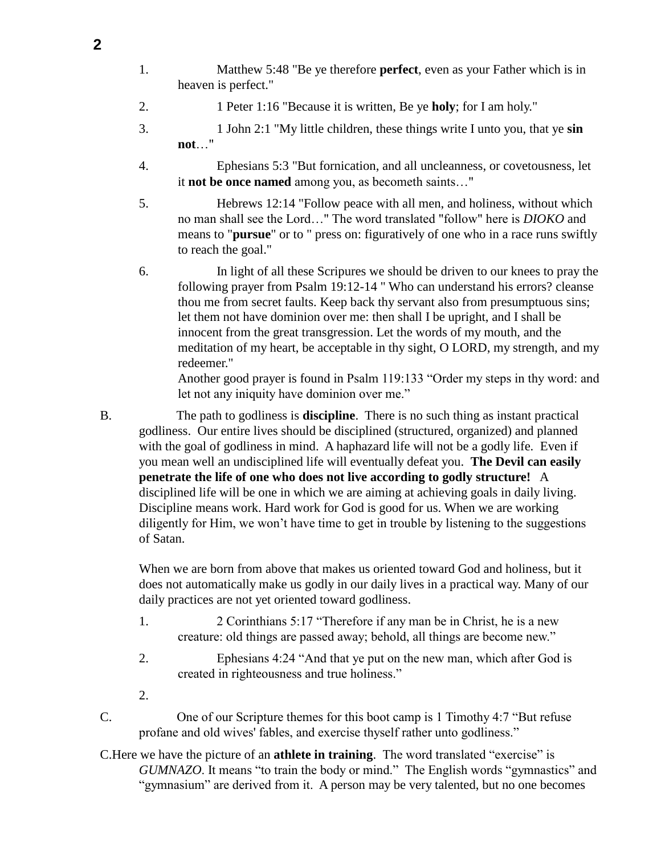- 1. Matthew 5:48 "Be ye therefore **perfect**, even as your Father which is in heaven is perfect."
- 2. 1 Peter 1:16 "Because it is written, Be ye **holy**; for I am holy."
- 3. 1 John 2:1 "My little children, these things write I unto you, that ye **sin not**…"
- 4. Ephesians 5:3 "But fornication, and all uncleanness, or covetousness, let it **not be once named** among you, as becometh saints…"

5. Hebrews 12:14 "Follow peace with all men, and holiness, without which no man shall see the Lord…" The word translated "follow" here is *DIOKO* and means to "**pursue**" or to " press on: figuratively of one who in a race runs swiftly to reach the goal."

6. In light of all these Scripures we should be driven to our knees to pray the following prayer from Psalm 19:12-14 " Who can understand his errors? cleanse thou me from secret faults. Keep back thy servant also from presumptuous sins; let them not have dominion over me: then shall I be upright, and I shall be innocent from the great transgression. Let the words of my mouth, and the meditation of my heart, be acceptable in thy sight, O LORD, my strength, and my redeemer."

Another good prayer is found in Psalm 119:133 "Order my steps in thy word: and let not any iniquity have dominion over me."

B. The path to godliness is **discipline**. There is no such thing as instant practical godliness. Our entire lives should be disciplined (structured, organized) and planned with the goal of godliness in mind. A haphazard life will not be a godly life. Even if you mean well an undisciplined life will eventually defeat you. **The Devil can easily penetrate the life of one who does not live according to godly structure!** A disciplined life will be one in which we are aiming at achieving goals in daily living. Discipline means work. Hard work for God is good for us. When we are working diligently for Him, we won't have time to get in trouble by listening to the suggestions of Satan.

When we are born from above that makes us oriented toward God and holiness, but it does not automatically make us godly in our daily lives in a practical way. Many of our daily practices are not yet oriented toward godliness.

- 1. 2 Corinthians 5:17 "Therefore if any man be in Christ, he is a new creature: old things are passed away; behold, all things are become new."
- 2. Ephesians 4:24 "And that ye put on the new man, which after God is created in righteousness and true holiness."
- 2.
- C. One of our Scripture themes for this boot camp is 1 Timothy 4:7 "But refuse profane and old wives' fables, and exercise thyself rather unto godliness."
- C.Here we have the picture of an **athlete in training**. The word translated "exercise" is *GUMNAZO*. It means "to train the body or mind." The English words "gymnastics" and "gymnasium" are derived from it. A person may be very talented, but no one becomes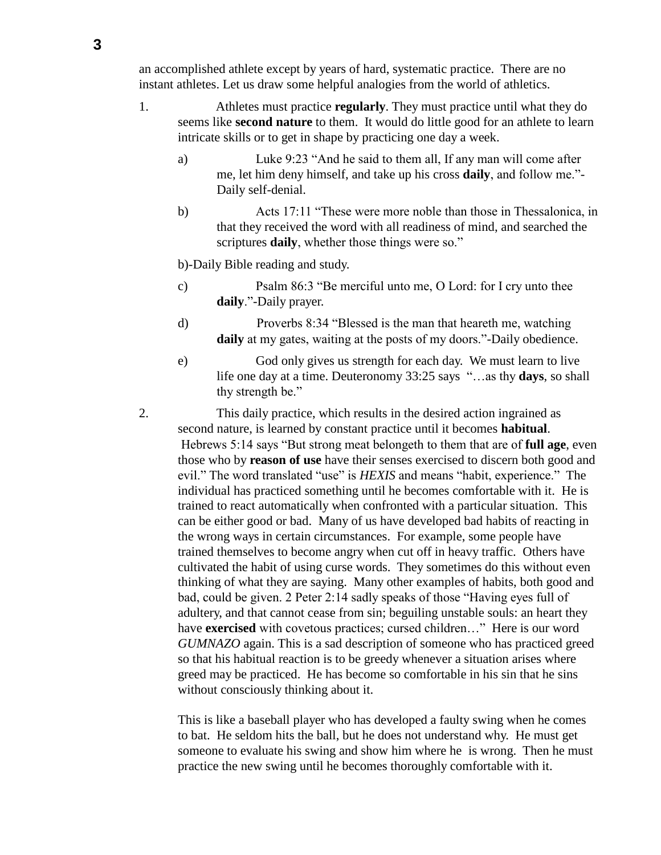an accomplished athlete except by years of hard, systematic practice. There are no instant athletes. Let us draw some helpful analogies from the world of athletics.

- 1. Athletes must practice **regularly**. They must practice until what they do seems like **second nature** to them. It would do little good for an athlete to learn intricate skills or to get in shape by practicing one day a week.
	- a) Luke 9:23 "And he said to them all, If any man will come after me, let him deny himself, and take up his cross **daily**, and follow me."- Daily self-denial.
	- b) Acts 17:11 "These were more noble than those in Thessalonica, in that they received the word with all readiness of mind, and searched the scriptures **daily**, whether those things were so."

b)-Daily Bible reading and study.

- c) Psalm 86:3 "Be merciful unto me, O Lord: for I cry unto thee **daily**."-Daily prayer.
- d) Proverbs 8:34 "Blessed is the man that heareth me, watching daily at my gates, waiting at the posts of my doors."-Daily obedience.
- e) God only gives us strength for each day. We must learn to live life one day at a time. Deuteronomy 33:25 says "…as thy **days**, so shall thy strength be."
- 2. This daily practice, which results in the desired action ingrained as second nature, is learned by constant practice until it becomes **habitual**. Hebrews 5:14 says "But strong meat belongeth to them that are of **full age**, even those who by **reason of use** have their senses exercised to discern both good and evil." The word translated "use" is *HEXIS* and means "habit, experience." The individual has practiced something until he becomes comfortable with it. He is trained to react automatically when confronted with a particular situation. This can be either good or bad. Many of us have developed bad habits of reacting in the wrong ways in certain circumstances. For example, some people have trained themselves to become angry when cut off in heavy traffic. Others have cultivated the habit of using curse words. They sometimes do this without even thinking of what they are saying. Many other examples of habits, both good and bad, could be given. 2 Peter 2:14 sadly speaks of those "Having eyes full of adultery, and that cannot cease from sin; beguiling unstable souls: an heart they have **exercised** with covetous practices; cursed children..." Here is our word *GUMNAZO* again. This is a sad description of someone who has practiced greed so that his habitual reaction is to be greedy whenever a situation arises where greed may be practiced. He has become so comfortable in his sin that he sins without consciously thinking about it.

This is like a baseball player who has developed a faulty swing when he comes to bat. He seldom hits the ball, but he does not understand why. He must get someone to evaluate his swing and show him where he is wrong. Then he must practice the new swing until he becomes thoroughly comfortable with it.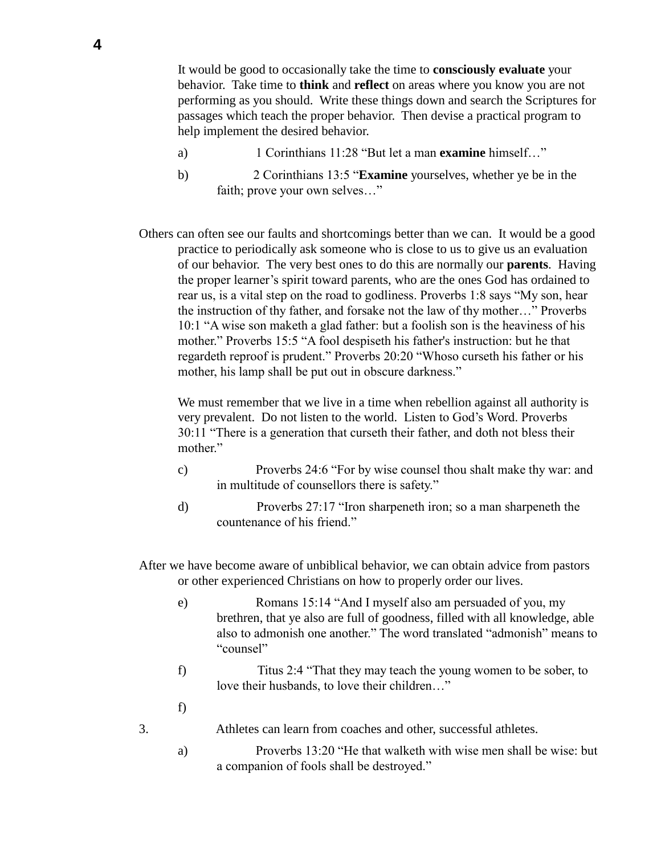It would be good to occasionally take the time to **consciously evaluate** your behavior. Take time to **think** and **reflect** on areas where you know you are not performing as you should. Write these things down and search the Scriptures for passages which teach the proper behavior. Then devise a practical program to help implement the desired behavior.

- a) 1 Corinthians 11:28 "But let a man **examine** himself…"
- b) 2 Corinthians 13:5 "**Examine** yourselves, whether ye be in the faith; prove your own selves…"

Others can often see our faults and shortcomings better than we can. It would be a good practice to periodically ask someone who is close to us to give us an evaluation of our behavior. The very best ones to do this are normally our **parents**. Having the proper learner's spirit toward parents, who are the ones God has ordained to rear us, is a vital step on the road to godliness. Proverbs 1:8 says "My son, hear the instruction of thy father, and forsake not the law of thy mother…" Proverbs 10:1 "A wise son maketh a glad father: but a foolish son is the heaviness of his mother." Proverbs 15:5 "A fool despiseth his father's instruction: but he that regardeth reproof is prudent." Proverbs 20:20 "Whoso curseth his father or his mother, his lamp shall be put out in obscure darkness."

We must remember that we live in a time when rebellion against all authority is very prevalent. Do not listen to the world. Listen to God's Word. Proverbs 30:11 "There is a generation that curseth their father, and doth not bless their mother."

- c) Proverbs 24:6 "For by wise counsel thou shalt make thy war: and in multitude of counsellors there is safety."
- d) Proverbs 27:17 "Iron sharpeneth iron; so a man sharpeneth the countenance of his friend."
- After we have become aware of unbiblical behavior, we can obtain advice from pastors or other experienced Christians on how to properly order our lives.
	- e) Romans 15:14 "And I myself also am persuaded of you, my brethren, that ye also are full of goodness, filled with all knowledge, able also to admonish one another." The word translated "admonish" means to "counsel"
	- f) Titus 2:4 "That they may teach the young women to be sober, to love their husbands, to love their children…"
	- f)
- 3. Athletes can learn from coaches and other, successful athletes.
	- a) Proverbs 13:20 "He that walketh with wise men shall be wise: but a companion of fools shall be destroyed."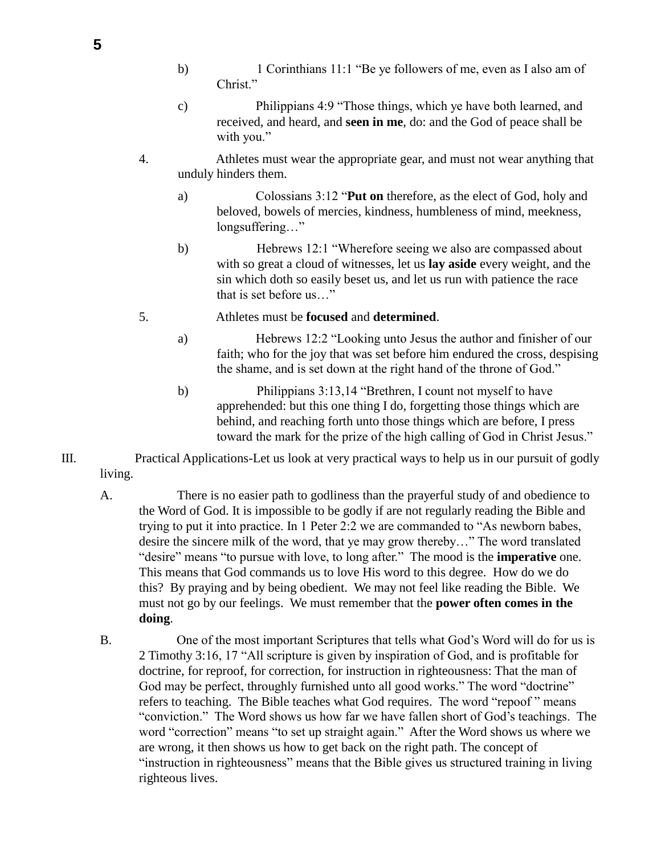- b) 1 Corinthians 11:1 "Be ye followers of me, even as I also am of Christ."
- c) Philippians 4:9 "Those things, which ye have both learned, and received, and heard, and **seen in me**, do: and the God of peace shall be with you."
- 4. Athletes must wear the appropriate gear, and must not wear anything that unduly hinders them.
	- a) Colossians 3:12 "**Put on** therefore, as the elect of God, holy and beloved, bowels of mercies, kindness, humbleness of mind, meekness, longsuffering..."
	- b) Hebrews 12:1 "Wherefore seeing we also are compassed about with so great a cloud of witnesses, let us **lay aside** every weight, and the sin which doth so easily beset us, and let us run with patience the race that is set before us…"
- 5. Athletes must be **focused** and **determined**.
	- a) Hebrews 12:2 "Looking unto Jesus the author and finisher of our faith; who for the joy that was set before him endured the cross, despising the shame, and is set down at the right hand of the throne of God."
	- b) Philippians 3:13,14 "Brethren, I count not myself to have apprehended: but this one thing I do, forgetting those things which are behind, and reaching forth unto those things which are before, I press toward the mark for the prize of the high calling of God in Christ Jesus."
- III. Practical Applications-Let us look at very practical ways to help us in our pursuit of godly living.
	- A. There is no easier path to godliness than the prayerful study of and obedience to the Word of God. It is impossible to be godly if are not regularly reading the Bible and trying to put it into practice. In 1 Peter 2:2 we are commanded to "As newborn babes, desire the sincere milk of the word, that ye may grow thereby…" The word translated "desire" means "to pursue with love, to long after." The mood is the **imperative** one. This means that God commands us to love His word to this degree. How do we do this? By praying and by being obedient. We may not feel like reading the Bible. We must not go by our feelings. We must remember that the **power often comes in the doing**.
	- B. One of the most important Scriptures that tells what God's Word will do for us is 2 Timothy 3:16, 17 "All scripture is given by inspiration of God, and is profitable for doctrine, for reproof, for correction, for instruction in righteousness: That the man of God may be perfect, throughly furnished unto all good works." The word "doctrine" refers to teaching. The Bible teaches what God requires. The word "repoof " means "conviction." The Word shows us how far we have fallen short of God's teachings. The word "correction" means "to set up straight again." After the Word shows us where we are wrong, it then shows us how to get back on the right path. The concept of "instruction in righteousness" means that the Bible gives us structured training in living righteous lives.

**5**